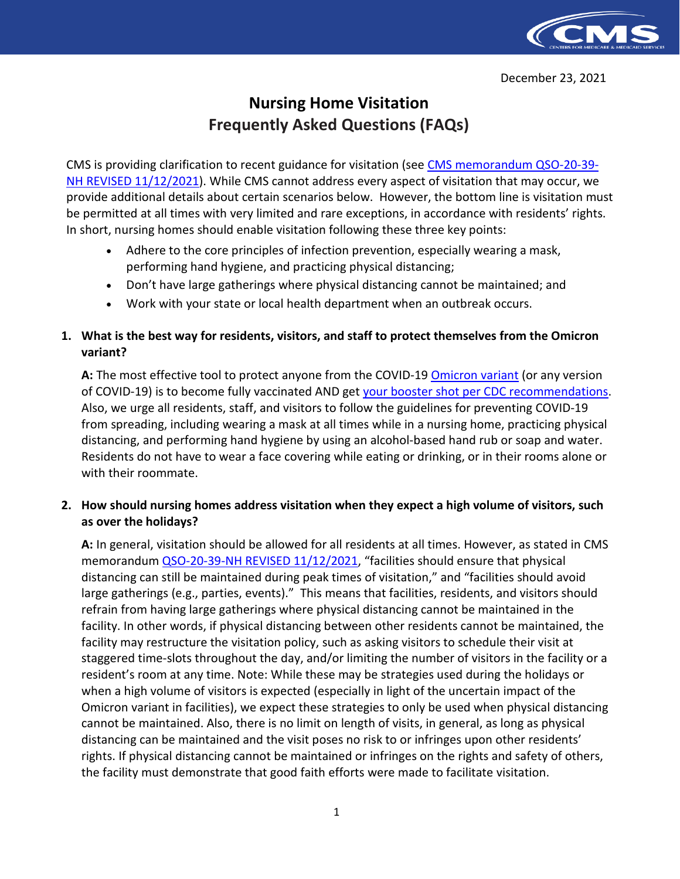

# **Nursing Home Visitation Frequently Asked Questions (FAQs)**

CMS is providing clarification to recent guidance for visitation (see [CMS memorandum QSO-20-39-](https://www.cms.gov/files/document/qso-20-39-nh-revised.pdf) [NH REVISED 11/12/2021\)](https://www.cms.gov/files/document/qso-20-39-nh-revised.pdf). While CMS cannot address every aspect of visitation that may occur, we provide additional details about certain scenarios below. However, the bottom line is visitation must be permitted at all times with very limited and rare exceptions, in accordance with residents' rights. In short, nursing homes should enable visitation following these three key points:

- Adhere to the core principles of infection prevention, especially wearing a mask, performing hand hygiene, and practicing physical distancing;
- Don't have large gatherings where physical distancing cannot be maintained; and
- Work with your state or local health department when an outbreak occurs.

## **1. What is the best way for residents, visitors, and staff to protect themselves from the Omicron variant?**

A: The most effective tool to protect anyone from the COVID-19 **Omicron variant** (or any version of COVID-19) is to become fully vaccinated AND get [your booster shot per CDC recommendations.](https://www.cdc.gov/coronavirus/2019-ncov/vaccines/booster-shot.html) Also, we urge all residents, staff, and visitors to follow the guidelines for preventing COVID-19 from spreading, including wearing a mask at all times while in a nursing home, practicing physical distancing, and performing hand hygiene by using an alcohol-based hand rub or soap and water. Residents do not have to wear a face covering while eating or drinking, or in their rooms alone or with their roommate.

## **2. How should nursing homes address visitation when they expect a high volume of visitors, such as over the holidays?**

**A:** In general, visitation should be allowed for all residents at all times. However, as stated in CMS memorandum [QSO-20-39-NH REVISED 11/12/2021,](https://www.cms.gov/files/document/qso-20-39-nh-revised.pdf) "facilities should ensure that physical distancing can still be maintained during peak times of visitation," and "facilities should avoid large gatherings (e.g., parties, events)." This means that facilities, residents, and visitors should refrain from having large gatherings where physical distancing cannot be maintained in the facility. In other words, if physical distancing between other residents cannot be maintained, the facility may restructure the visitation policy, such as asking visitors to schedule their visit at staggered time-slots throughout the day, and/or limiting the number of visitors in the facility or a resident's room at any time. Note: While these may be strategies used during the holidays or when a high volume of visitors is expected (especially in light of the uncertain impact of the Omicron variant in facilities), we expect these strategies to only be used when physical distancing cannot be maintained. Also, there is no limit on length of visits, in general, as long as physical distancing can be maintained and the visit poses no risk to or infringes upon other residents' rights. If physical distancing cannot be maintained or infringes on the rights and safety of others, the facility must demonstrate that good faith efforts were made to facilitate visitation.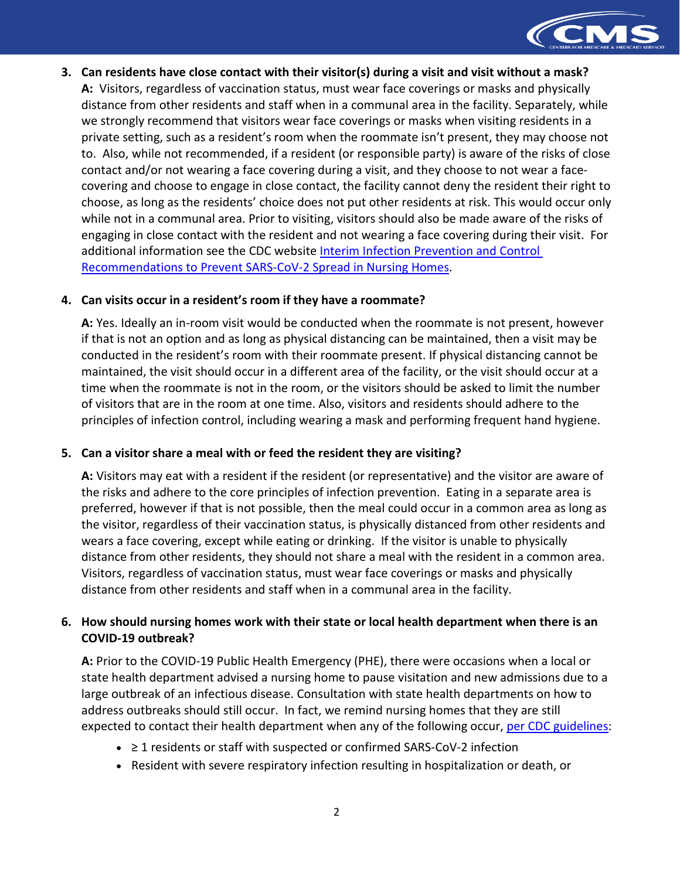

**3. Can residents have close contact with their visitor(s) during a visit and visit without a mask? A:** Visitors, regardless of vaccination status, must wear face coverings or masks and physically distance from other residents and staff when in a communal area in the facility. Separately, while we strongly recommend that visitors wear face coverings or masks when visiting residents in a private setting, such as a resident's room when the roommate isn't present, they may choose not to. Also, while not recommended, if a resident (or responsible party) is aware of the risks of close contact and/or not wearing a face covering during a visit, and they choose to not wear a facecovering and choose to engage in close contact, the facility cannot deny the resident their right to choose, as long as the residents' choice does not put other residents at risk. This would occur only while not in a communal area. Prior to visiting, visitors should also be made aware of the risks of engaging in close contact with the resident and not wearing a face covering during their visit. For additional information see the CDC website [Interim Infection Prevention and Control](https://www.cdc.gov/coronavirus/2019-ncov/hcp/long-term-care.html)  [Recommendations to Prevent SARS-CoV-2 Spread in Nursing Homes.](https://www.cdc.gov/coronavirus/2019-ncov/hcp/long-term-care.html)

#### **4. Can visits occur in a resident's room if they have a roommate?**

**A:** Yes. Ideally an in-room visit would be conducted when the roommate is not present, however if that is not an option and as long as physical distancing can be maintained, then a visit may be conducted in the resident's room with their roommate present. If physical distancing cannot be maintained, the visit should occur in a different area of the facility, or the visit should occur at a time when the roommate is not in the room, or the visitors should be asked to limit the number of visitors that are in the room at one time. Also, visitors and residents should adhere to the principles of infection control, including wearing a mask and performing frequent hand hygiene.

## **5. Can a visitor share a meal with or feed the resident they are visiting?**

**A:** Visitors may eat with a resident if the resident (or representative) and the visitor are aware of the risks and adhere to the core principles of infection prevention. Eating in a separate area is preferred, however if that is not possible, then the meal could occur in a common area as long as the visitor, regardless of their vaccination status, is physically distanced from other residents and wears a face covering, except while eating or drinking. If the visitor is unable to physically distance from other residents, they should not share a meal with the resident in a common area. Visitors, regardless of vaccination status, must wear face coverings or masks and physically distance from other residents and staff when in a communal area in the facility.

## **6. How should nursing homes work with their state or local health department when there is an COVID-19 outbreak?**

**A:** Prior to the COVID-19 Public Health Emergency (PHE), there were occasions when a local or state health department advised a nursing home to pause visitation and new admissions due to a large outbreak of an infectious disease. Consultation with state health departments on how to address outbreaks should still occur. In fact, we remind nursing homes that they are still expected to contact their health department when any of the following occur, [per CDC guidelines:](https://www.cdc.gov/coronavirus/2019-ncov/hcp/long-term-care.html)

- ≥ 1 residents or staff with suspected or confirmed SARS-CoV-2 infection
- Resident with severe respiratory infection resulting in hospitalization or death, or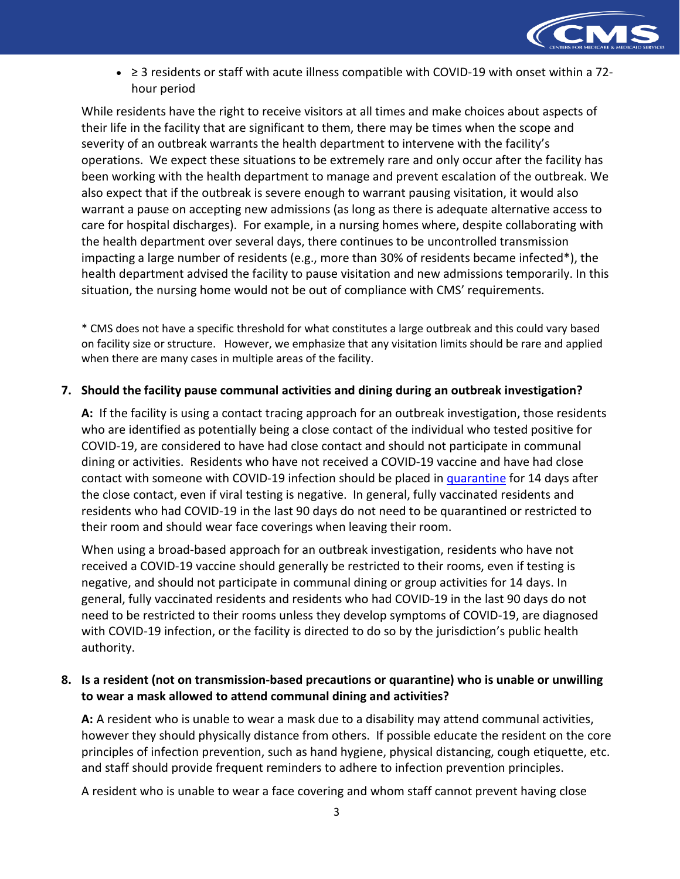

• ≥ 3 residents or staff with acute illness compatible with COVID-19 with onset within a 72 hour period

While residents have the right to receive visitors at all times and make choices about aspects of their life in the facility that are significant to them, there may be times when the scope and severity of an outbreak warrants the health department to intervene with the facility's operations. We expect these situations to be extremely rare and only occur after the facility has been working with the health department to manage and prevent escalation of the outbreak. We also expect that if the outbreak is severe enough to warrant pausing visitation, it would also warrant a pause on accepting new admissions (as long as there is adequate alternative access to care for hospital discharges). For example, in a nursing homes where, despite collaborating with the health department over several days, there continues to be uncontrolled transmission impacting a large number of residents (e.g., more than 30% of residents became infected\*), the health department advised the facility to pause visitation and new admissions temporarily. In this situation, the nursing home would not be out of compliance with CMS' requirements.

\* CMS does not have a specific threshold for what constitutes a large outbreak and this could vary based on facility size or structure. However, we emphasize that any visitation limits should be rare and applied when there are many cases in multiple areas of the facility.

#### **7. Should the facility pause communal activities and dining during an outbreak investigation?**

**A:** If the facility is using a contact tracing approach for an outbreak investigation, those residents who are identified as potentially being a close contact of the individual who tested positive for COVID-19, are considered to have had close contact and should not participate in communal dining or activities. Residents who have not received a COVID-19 vaccine and have had close contact with someone with COVID-19 infection should be placed in [quarantine](https://www.cdc.gov/coronavirus/2019-ncov/hcp/long-term-care.html#anchor_1631031193599) for 14 days after the close contact, even if viral testing is negative. In general, fully vaccinated residents and residents who had COVID-19 in the last 90 days do not need to be quarantined or restricted to their room and should wear face coverings when leaving their room.

When using a broad-based approach for an outbreak investigation, residents who have not received a COVID-19 vaccine should generally be restricted to their rooms, even if testing is negative, and should not participate in communal dining or group activities for 14 days. In general, fully vaccinated residents and residents who had COVID-19 in the last 90 days do not need to be restricted to their rooms unless they develop symptoms of COVID-19, are diagnosed with COVID-19 infection, or the facility is directed to do so by the jurisdiction's public health authority.

## **8. Is a resident (not on transmission-based precautions or quarantine) who is unable or unwilling to wear a mask allowed to attend communal dining and activities?**

**A:** A resident who is unable to wear a mask due to a disability may attend communal activities, however they should physically distance from others. If possible educate the resident on the core principles of infection prevention, such as hand hygiene, physical distancing, cough etiquette, etc. and staff should provide frequent reminders to adhere to infection prevention principles.

A resident who is unable to wear a face covering and whom staff cannot prevent having close